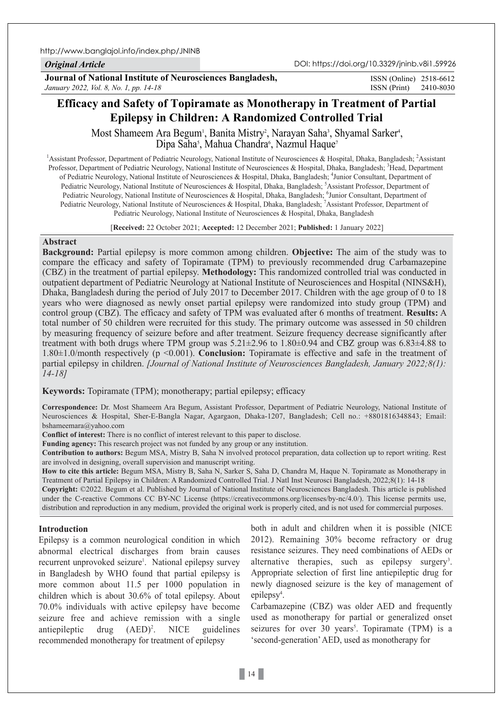*Original Article*

DOI: https://doi.org/10.3329/jninb.v8i1.59926

**Journal of National Institute of Neurosciences Bangladesh,** *January 2022, Vol. 8, No. 1, pp. 14-18*

ISSN (Print) 2410-8030 ISSN (Online) 2518-6612

# **Efficacy and Safety of Topiramate as Monotherapy in Treatment of Partial Epilepsy in Children: A Randomized Controlled Trial**

Most Shameem Ara Begum<sup>i</sup>, Banita Mistry<sup>2</sup>, Narayan Saha<sup>3</sup>, Shyamal Sarker<sup>4</sup>, Dipa Saha<sup>5</sup>, Mahua Chandra<sup>6</sup>, Nazmul Haque<sup>7</sup>

<sup>1</sup> Assistant Professor, Department of Pediatric Neurology, National Institute of Neurosciences & Hospital, Dhaka, Bangladesh; <sup>2</sup>Assistant Professor, Department of Pediatric Neurology, National Institute of Neurosciences & Hospital, Dhaka, Bangladesh; <sup>3</sup>Head, Department of Pediatric Neurology, National Institute of Neurosciences & Hospital, Dhaka, Bangladesh; <sup>4</sup>Junior Consultant, Department of Pediatric Neurology, National Institute of Neurosciences & Hospital, Dhaka, Bangladesh; <sup>5</sup>Assistant Professor, Department of Pediatric Neurology, National Institute of Neurosciences & Hospital, Dhaka, Bangladesh; <sup>6</sup>Junior Consultant, Department of Pediatric Neurology, National Institute of Neurosciences & Hospital, Dhaka, Bangladesh; <sup>7</sup>Assistant Professor, Department of Pediatric Neurology, National Institute of Neurosciences & Hospital, Dhaka, Bangladesh

[**Received:** 22 October 2021; **Accepted:** 12 December 2021; **Published:** 1 January 2022]

# **Abstract**

**Background:** Partial epilepsy is more common among children. **Objective:** The aim of the study was to compare the efficacy and safety of Topiramate (TPM) to previously recommended drug Carbamazepine (CBZ) in the treatment of partial epilepsy. **Methodology:** This randomized controlled trial was conducted in outpatient department of Pediatric Neurology at National Institute of Neurosciences and Hospital (NINS&H), Dhaka, Bangladesh during the period of July 2017 to December 2017. Children with the age group of 0 to 18 years who were diagnosed as newly onset partial epilepsy were randomized into study group (TPM) and control group (CBZ). The efficacy and safety of TPM was evaluated after 6 months of treatment. **Results:** A total number of 50 children were recruited for this study. The primary outcome was assessed in 50 children by measuring frequency of seizure before and after treatment. Seizure frequency decrease significantly after treatment with both drugs where TPM group was 5.21±2.96 to 1.80±0.94 and CBZ group was 6.83±4.88 to 1.80±1.0/month respectively (p <0.001). **Conclusion:** Topiramate is effective and safe in the treatment of partial epilepsy in children. *[Journal of National Institute of Neurosciences Bangladesh, January 2022;8(1): 14-18]*

**Keywords:** Topiramate (TPM); monotherapy; partial epilepsy; efficacy

**Correspondence:** Dr. Most Shameem Ara Begum, Assistant Professor, Department of Pediatric Neurology, National Institute of Neurosciences & Hospital, Sher-E-Bangla Nagar, Agargaon, Dhaka-1207, Bangladesh; Cell no.: +8801816348843; Email: bshameemara@yahoo.com

**Conflict of interest:** There is no conflict of interest relevant to this paper to disclose.

**Funding agency:** This research project was not funded by any group or any institution.

**Contribution to authors:** Begum MSA, Mistry B, Saha N involved protocol preparation, data collection up to report writing. Rest are involved in designing, overall supervision and manuscript writing.

**How to cite this article:** Begum MSA, Mistry B, Saha N, Sarker S, Saha D, Chandra M, Haque N. Topiramate as Monotherapy in Treatment of Partial Epilepsy in Children: A Randomized Controlled Trial. J Natl Inst Neurosci Bangladesh, 2022;8(1): 14-18

**Copyright:** ©2022. Begum et al. Published by Journal of National Institute of Neurosciences Bangladesh. This article is published under the C-reactive Commons CC BY-NC License (https://creativecommons.org/licenses/by-nc/4.0/). This license permits use, distribution and reproduction in any medium, provided the original work is properly cited, and is not used for commercial purposes.

# **Introduction**

Epilepsy is a common neurological condition in which abnormal electrical discharges from brain causes recurrent unprovoked seizure<sup>1</sup>. National epilepsy survey in Bangladesh by WHO found that partial epilepsy is more common about 11.5 per 1000 population in children which is about 30.6% of total epilepsy. About 70.0% individuals with active epilepsy have become seizure free and achieve remission with a single antiepileptic drug  $(AED)^2$ . NICE guidelines recommended monotherapy for treatment of epilepsy

both in adult and children when it is possible (NICE 2012). Remaining 30% become refractory or drug resistance seizures. They need combinations of AEDs or alternative therapies, such as epilepsy surgery<sup>3</sup>. Appropriate selection of first line antiepileptic drug for newly diagnosed seizure is the key of management of epilepsy<sup>4</sup>.

Carbamazepine (CBZ) was older AED and frequently used as monotherapy for partial or generalized onset seizures for over 30 years<sup>5</sup>. Topiramate (TPM) is a 'second-generation' AED, used as monotherapy for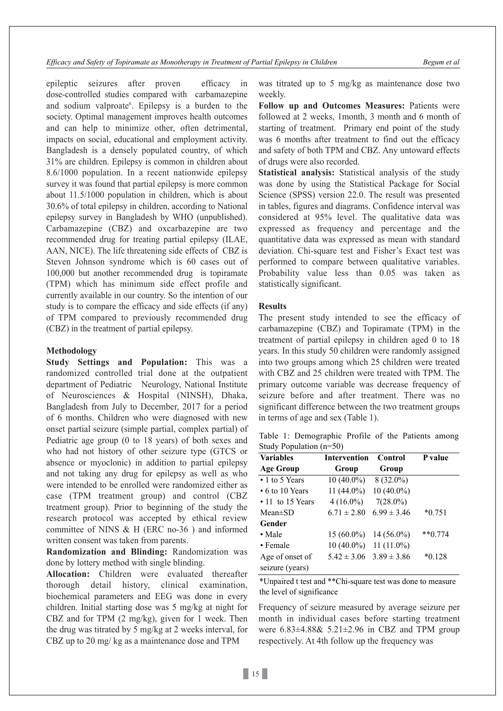epileptic seizures after proven efficacy in dose-controlled studies compared with carbamazepine and sodium valproate<sup>6</sup>. Epilepsy is a burden to the society. Optimal management improves health outcomes and can help to minimize other, often detrimental, impacts on social, educational and employment activity. Bangladesh is a densely populated country, of which 31% are children. Epilepsy is common in children about 8.6/1000 population. In a recent nationwide epilepsy survey it was found that partial epilepsy is more common about 11.5/1000 population in children, which is about 30.6% of total epilepsy in children, according to National epilepsy survey in Bangladesh by WHO (unpublished). Carbamazepine (CBZ) and oxcarbazepine are two recommended drug for treating partial epilepsy (ILAE, AAN, NICE). The life threatening side effects of CBZ is Steven Johnson syndrome which is 60 cases out of 100,000 but another recommended drug is topiramate (TPM) which has minimum side effect profile and currently available in our country. So the intention of our study is to compare the efficacy and side effects (if any) of TPM compared to previously recommended drug (CBZ) in the treatment of partial epilepsy.

### **Methodology**

**Study Settings and Population:** This was a randomized controlled trial done at the outpatient department of Pediatric Neurology, National Institute of Neurosciences & Hospital (NINSH), Dhaka, Bangladesh from July to December, 2017 for a period of 6 months. Children who were diagnosed with new onset partial seizure (simple partial, complex partial) of Pediatric age group (0 to 18 years) of both sexes and who had not history of other seizure type (GTCS or absence or myoclonic) in addition to partial epilepsy and not taking any drug for epilepsy as well as who were intended to be enrolled were randomized either as case (TPM treatment group) and control (CBZ treatment group). Prior to beginning of the study the research protocol was accepted by ethical review committee of NINS & H (ERC no-36 ) and informed written consent was taken from parents.

**Randomization and Blinding:** Randomization was done by lottery method with single blinding.

**Allocation:** Children were evaluated thereafter thorough detail history, clinical examination, biochemical parameters and EEG was done in every children. Initial starting dose was 5 mg/kg at night for CBZ and for TPM (2 mg/kg), given for 1 week. Then the drug was titrated by 5 mg/kg at 2 weeks interval, for CBZ up to 20 mg/ kg as a maintenance dose and TPM

was titrated up to 5 mg/kg as maintenance dose two weekly.

**Follow up and Outcomes Measures:** Patients were followed at 2 weeks, 1month, 3 month and 6 month of starting of treatment. Primary end point of the study was 6 months after treatment to find out the efficacy and safety of both TPM and CBZ. Any untoward effects of drugs were also recorded.

**Statistical analysis:** Statistical analysis of the study was done by using the Statistical Package for Social Science (SPSS) version 22.0. The result was presented in tables, figures and diagrams. Confidence interval was considered at 95% level. The qualitative data was expressed as frequency and percentage and the quantitative data was expressed as mean with standard deviation. Chi-square test and Fisher's Exact test was performed to compare between qualitative variables. Probability value less than 0.05 was taken as statistically significant.

## **Results**

The present study intended to see the efficacy of carbamazepine (CBZ) and Topiramate (TPM) in the treatment of partial epilepsy in children aged 0 to 18 years. In this study 50 children were randomly assigned into two groups among which 25 children were treated with CBZ and 25 children were treated with TPM. The primary outcome variable was decrease frequency of seizure before and after treatment. There was no significant difference between the two treatment groups in terms of age and sex (Table 1).

Table 1: Demographic Profile of the Patients among Study Population (n=50)

| <b>Variables</b>       | <b>Intervention</b>     | Control         | P value   |
|------------------------|-------------------------|-----------------|-----------|
| <b>Age Group</b>       | Group                   | Group           |           |
| $\cdot$ 1 to 5 Years   | 10 (40.0%)              | 8 (32.0%)       |           |
| $\cdot$ 6 to 10 Years  | 11 (44.0%)              | $10(40.0\%)$    |           |
| $\cdot$ 11 to 15 Years | $4(16.0\%)$             | $7(28.0\%)$     |           |
| $Mean \pm SD$          | $6.71 \pm 2.80$         | $6.99 \pm 3.46$ | $*0.751$  |
| Gender                 |                         |                 |           |
| $\bullet$ Male         | $15(60.0\%)$            | $14(56.0\%)$    | $**0.774$ |
| • Female               | $10(40.0\%)$ 11 (11.0%) |                 |           |
| Age of onset of        | $5.42 \pm 3.06$         | $3.89 \pm 3.86$ | $*0.128$  |
| seizure (years)        |                         |                 |           |

\*Unpaired t test and \*\*Chi-square test was done to measure the level of significance

Frequency of seizure measured by average seizure per month in individual cases before starting treatment were 6.83±4.88& 5.21±2.96 in CBZ and TPM group respectively. At 4th follow up the frequency was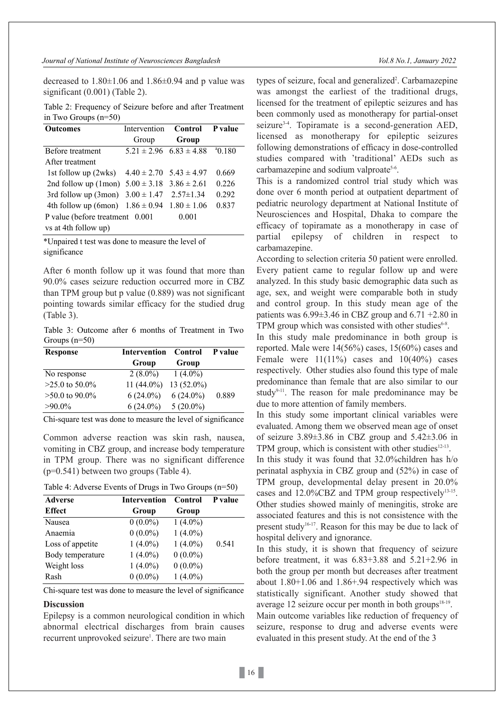decreased to  $1.80\pm1.06$  and  $1.86\pm0.94$  and p value was significant (0.001) (Table 2).

Table 2: Frequency of Seizure before and after Treatment in Two Groups (n=50)

| <b>Outcomes</b>                                      | Intervention | <b>Control</b>                  | <b>P</b> value |
|------------------------------------------------------|--------------|---------------------------------|----------------|
|                                                      | Group        | Group                           |                |
| Before treatment                                     |              | $5.21 \pm 2.96$ $6.83 \pm 4.88$ | $^{4}$ 0.180   |
| After treatment                                      |              |                                 |                |
| 1st follow up (2wks) $4.40 \pm 2.70$ 5.43 $\pm 4.97$ |              |                                 | 0.669          |
| 2nd follow up (1mon) $5.00 \pm 3.18$                 |              | $3.86 \pm 2.61$                 | 0.226          |
| 3rd follow up (3mon) $3.00 \pm 1.47$                 |              | $2.57 \pm 1.34$                 | 0.292          |
| 4th follow up (6mon) $1.86 \pm 0.94$                 |              | $1.80 \pm 1.06$                 | 0.837          |
| P value (before treatment 0.001                      |              | 0.001                           |                |
| vs at 4th follow up)                                 |              |                                 |                |

\*Unpaired t test was done to measure the level of significance

After 6 month follow up it was found that more than 90.0% cases seizure reduction occurred more in CBZ than TPM group but p value (0.889) was not significant pointing towards similar efficacy for the studied drug (Table 3).

Table 3: Outcome after 6 months of Treatment in Two Groups (n=50)

| <b>Response</b>  | Intervention Control P value |              |       |
|------------------|------------------------------|--------------|-------|
|                  | Group                        | Group        |       |
| No response      | $2(8.0\%)$ 1 $(4.0\%)$       |              |       |
| $>25.0$ to 50.0% | 11 $(44.0\%)$                | $13(52.0\%)$ |       |
| $>50.0$ to 90.0% | $6(24.0\%)$                  | $6(24.0\%)$  | 0.889 |
| $>90.0\%$        | $6(24.0\%)$                  | $5(20.0\%)$  |       |

Chi-square test was done to measure the level of significance

Common adverse reaction was skin rash, nausea, vomiting in CBZ group, and increase body temperature in TPM group. There was no significant difference (p=0.541) between two groups (Table 4).

Table 4: Adverse Events of Drugs in Two Groups (n=50)

| <b>Adverse</b>   | <b>Intervention</b> | Control    | P value |  |
|------------------|---------------------|------------|---------|--|
| <b>Effect</b>    | Group               | Group      |         |  |
| Nausea           | $0(0.0\%)$          | $1(4.0\%)$ |         |  |
| Anaemia          | $0(0.0\%)$          | $1(4.0\%)$ |         |  |
| Loss of appetite | $1(4.0\%)$          | $1(4.0\%)$ | 0.541   |  |
| Body temperature | $1(4.0\%)$          | $0(0.0\%)$ |         |  |
| Weight loss      | $1(4.0\%)$          | $0(0.0\%)$ |         |  |
| Rash             | $0(0.0\%)$          | $1(4.0\%)$ |         |  |
|                  |                     |            |         |  |

Chi-square test was done to measure the level of significance

# **Discussion**

Epilepsy is a common neurological condition in which abnormal electrical discharges from brain causes recurrent unprovoked seizure<sup>1</sup>. There are two main

types of seizure, focal and generalized<sup>2</sup>. Carbamazepine was amongst the earliest of the traditional drugs, licensed for the treatment of epileptic seizures and has been commonly used as monotherapy for partial-onset seizure<sup>3-4</sup>. Topiramate is a second-generation AED, licensed as monotherapy for epileptic seizures following demonstrations of efficacy in dose-controlled studies compared with 'traditional' AEDs such as carbamazepine and sodium valproate<sup>5-6</sup>.

This is a randomized control trial study which was done over 6 month period at outpatient department of pediatric neurology department at National Institute of Neurosciences and Hospital, Dhaka to compare the efficacy of topiramate as a monotherapy in case of partial epilepsy of children in respect to carbamazepine.

According to selection criteria 50 patient were enrolled. Every patient came to regular follow up and were analyzed. In this study basic demographic data such as age, sex, and weight were comparable both in study and control group. In this study mean age of the patients was  $6.99\pm3.46$  in CBZ group and  $6.71 + 2.80$  in TPM group which was consisted with other studies $6-8$ .

In this study male predominance in both group is reported. Male were 14(56%) cases, 15(60%) cases and Female were  $11(11\%)$  cases and  $10(40\%)$  cases respectively. Other studies also found this type of male predominance than female that are also similar to our study $9-11$ . The reason for male predominance may be due to more attention of family members.

In this study some important clinical variables were evaluated. Among them we observed mean age of onset of seizure 3.89±3.86 in CBZ group and 5.42±3.06 in TPM group, which is consistent with other studies $12-13$ .

In this study it was found that 32.0%children has h/o perinatal asphyxia in CBZ group and (52%) in case of TPM group, developmental delay present in 20.0% cases and  $12.0\%$ CBZ and TPM group respectively<sup>13-15</sup>. Other studies showed mainly of meningitis, stroke are associated features and this is not consistence with the present study<sup>16-17</sup>. Reason for this may be due to lack of hospital delivery and ignorance.

In this study, it is shown that frequency of seizure before treatment, it was  $6.83+3.88$  and  $5.21+2.96$  in both the group per month but decreases after treatment about 1.80+1.06 and 1.86+.94 respectively which was statistically significant. Another study showed that average 12 seizure occur per month in both groups $18-19$ . Main outcome variables like reduction of frequency of seizure, response to drug and adverse events were evaluated in this present study. At the end of the 3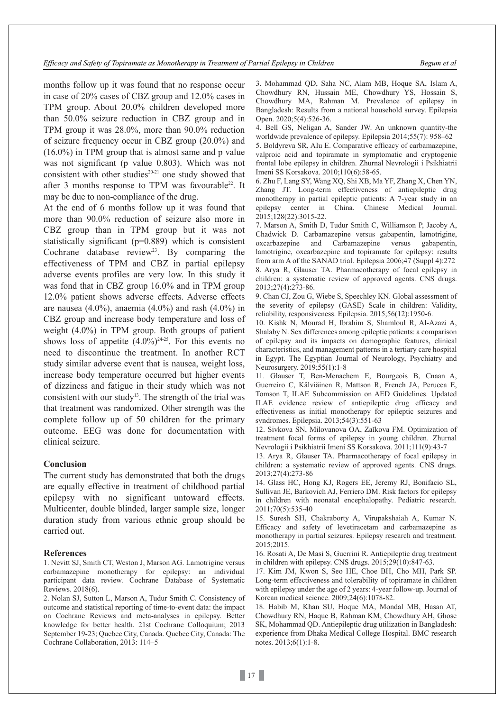months follow up it was found that no response occur in case of 20% cases of CBZ group and 12.0% cases in TPM group. About 20.0% children developed more than 50.0% seizure reduction in CBZ group and in TPM group it was 28.0%, more than 90.0% reduction of seizure frequency occur in CBZ group (20.0%) and (16.0%) in TPM group that is almost same and p value was not significant (p value 0.803). Which was not consistent with other studies $20-21$  one study showed that after 3 months response to TPM was favourable<sup>22</sup>. It may be due to non-compliance of the drug.

At the end of 6 months follow up it was found that more than 90.0% reduction of seizure also more in CBZ group than in TPM group but it was not statistically significant (p=0.889) which is consistent Cochrane database review<sup>23</sup>. By comparing the effectiveness of TPM and CBZ in partial epilepsy adverse events profiles are very low. In this study it was fond that in CBZ group 16.0% and in TPM group 12.0% patient shows adverse effects. Adverse effects are nausea (4.0%), anaemia (4.0%) and rash (4.0%) in CBZ group and increase body temperature and loss of weight (4.0%) in TPM group. Both groups of patient shows loss of appetite  $(4.0\%)^{24-25}$ . For this events no need to discontinue the treatment. In another RCT study similar adverse event that is nausea, weight loss, increase body temperature occurred but higher events of dizziness and fatigue in their study which was not consistent with our study<sup>13</sup>. The strength of the trial was that treatment was randomized. Other strength was the complete follow up of 50 children for the primary outcome. EEG was done for documentation with clinical seizure.

#### **Conclusion**

The current study has demonstrated that both the drugs are equally effective in treatment of childhood partial epilepsy with no significant untoward effects. Multicenter, double blinded, larger sample size, longer duration study from various ethnic group should be carried out.

#### **References**

1. Nevitt SJ, Smith CT, Weston J, Marson AG. Lamotrigine versus carbamazepine monotherapy for epilepsy: an individual participant data review. Cochrane Database of Systematic Reviews. 2018(6).

2. Nolan SJ, Sutton L, Marson A, Tudur Smith C. Consistency of outcome and statistical reporting of time-to-event data: the impact on Cochrane Reviews and meta-analyses in epilepsy. Better knowledge for better health. 21st Cochrane Colloquium; 2013 September 19-23; Quebec City, Canada. Quebec City, Canada: The Cochrane Collaboration, 2013: 114–5

3. Mohammad QD, Saha NC, Alam MB, Hoque SA, Islam A, Chowdhury RN, Hussain ME, Chowdhury YS, Hossain S, Chowdhury MA, Rahman M. Prevalence of epilepsy in Bangladesh: Results from a national household survey. Epilepsia Open. 2020;5(4):526-36.

4. Bell GS, Neligan A, Sander JW. An unknown quantity-the worldwide prevalence of epilepsy. Epilepsia 2014;55(7): 958–62

5. Boldyreva SR, AIu E. Comparative efficacy of carbamazepine, valproic acid and topiramate in symptomatic and cryptogenic frontal lobe epilepsy in children. Zhurnal Nevrologii i Psikhiatrii Imeni SS Korsakova. 2010;110(6):58-65.

6. Zhu F, Lang SY, Wang XQ, Shi XB, Ma YF, Zhang X, Chen YN, Zhang JT. Long-term effectiveness of antiepileptic drug monotherapy in partial epileptic patients: A 7-year study in an epilepsy center in China. Chinese Medical Journal. 2015;128(22):3015-22.

7. Marson A, Smith D, Tudur Smith C, Williamson P, Jacoby A, Chadwick D. Carbamazepine versus gabapentin, lamotrigine, oxcarbazepine and Carbamazepine versus gabapentin, lamotrigine, oxcarbazepine and topiramate for epilepsy: results from arm A of the SANAD trial. Epilepsia 2006;47 (Suppl 4):272 8. Arya R, Glauser TA. Pharmacotherapy of focal epilepsy in children: a systematic review of approved agents. CNS drugs. 2013;27(4):273-86.

9. Chan CJ, Zou G, Wiebe S, Speechley KN. Global assessment of the severity of epilepsy (GASE) Scale in children: Validity, reliability, responsiveness. Epilepsia. 2015;56(12):1950-6.

10. Kishk N, Mourad H, Ibrahim S, Shamloul R, Al-Azazi A, Shalaby N. Sex differences among epileptic patients: a comparison of epilepsy and its impacts on demographic features, clinical characteristics, and management patterns in a tertiary care hospital in Egypt. The Egyptian Journal of Neurology, Psychiatry and Neurosurgery. 2019;55(1):1-8

11. Glauser T, Ben‐Menachem E, Bourgeois B, Cnaan A, Guerreiro C, Kälviäinen R, Mattson R, French JA, Perucca E, Tomson T, ILAE Subcommission on AED Guidelines. Updated ILAE evidence review of antiepileptic drug efficacy and effectiveness as initial monotherapy for epileptic seizures and syndromes. Epilepsia. 2013;54(3):551-63

12. Sivkova SN, Milovanova OA, Zaĭkova FM. Optimization of treatment focal forms of epilepsy in young children. Zhurnal Nevrologii i Psikhiatrii Imeni SS Korsakova. 2011;111(9):43-7

13. Arya R, Glauser TA. Pharmacotherapy of focal epilepsy in children: a systematic review of approved agents. CNS drugs. 2013;27(4):273-86

14. Glass HC, Hong KJ, Rogers EE, Jeremy RJ, Bonifacio SL, Sullivan JE, Barkovich AJ, Ferriero DM. Risk factors for epilepsy in children with neonatal encephalopathy. Pediatric research. 2011;70(5):535-40

15. Suresh SH, Chakraborty A, Virupakshaiah A, Kumar N. Efficacy and safety of levetiracetam and carbamazepine as monotherapy in partial seizures. Epilepsy research and treatment. 2015;2015.

16. Rosati A, De Masi S, Guerrini R. Antiepileptic drug treatment in children with epilepsy. CNS drugs. 2015;29(10):847-63.

17. Kim JM, Kwon S, Seo HE, Choe BH, Cho MH, Park SP. Long-term effectiveness and tolerability of topiramate in children with epilepsy under the age of 2 years: 4-year follow-up. Journal of Korean medical science. 2009;24(6):1078-82.

18. Habib M, Khan SU, Hoque MA, Mondal MB, Hasan AT, Chowdhury RN, Haque B, Rahman KM, Chowdhury AH, Ghose SK, Mohammad QD. Antiepileptic drug utilization in Bangladesh: experience from Dhaka Medical College Hospital. BMC research notes. 2013;6(1):1-8.